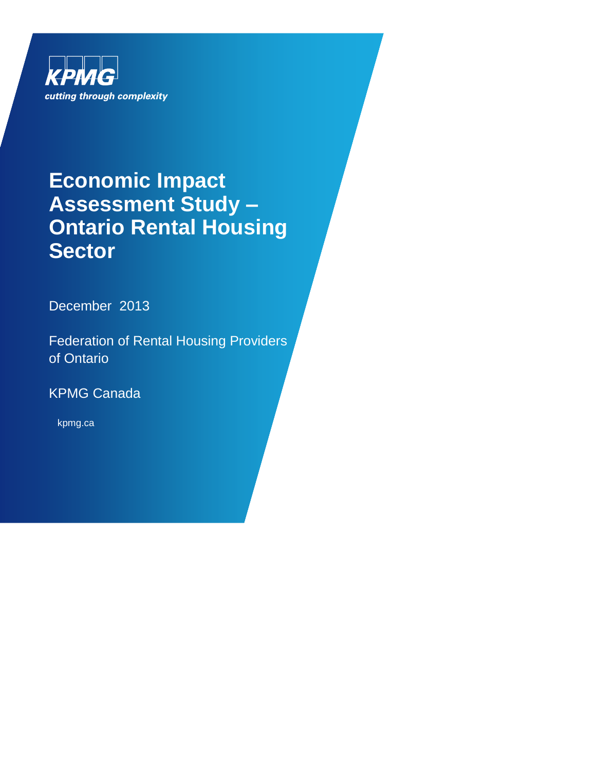

## **Economic Impact Assessment Study – Ontario Rental Housing Sector**

December 2013

Federation of Rental Housing Providers of Ontario

KPMG Canada

kpmg.ca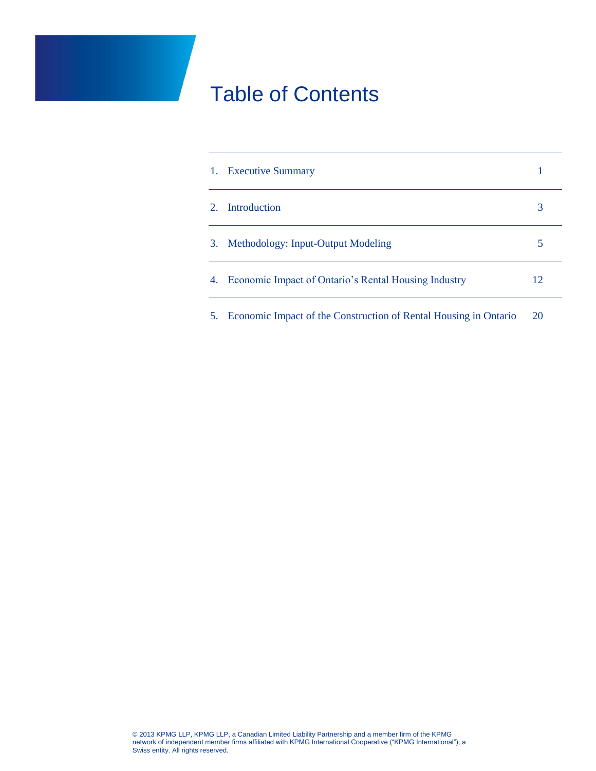## Table of Contents

| $\left 1\right\rangle$ | <b>Executive Summary</b>                                         |    |
|------------------------|------------------------------------------------------------------|----|
| $\mathcal{D}$          | Introduction                                                     | 3  |
| 3.                     | Methodology: Input-Output Modeling                               |    |
| 4.                     | Economic Impact of Ontario's Rental Housing Industry             | 12 |
| 5.                     | Economic Impact of the Construction of Rental Housing in Ontario | 20 |

© 2013 KPMG LLP, KPMG LLP, a Canadian Limited Liability Partnership and a member firm of the KPMG network of independent member firms affiliated with KPMG International Cooperative ("KPMG International"), a Swiss entity. All rights reserved.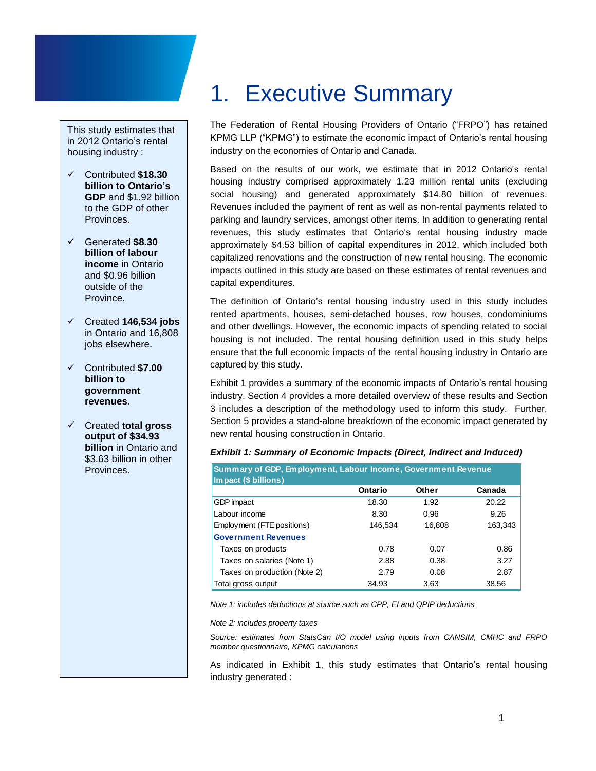This study estimates that in 2012 Ontario's rental housing industry :

- Contributed **\$18.30 billion to Ontario's GDP** and \$1.92 billion to the GDP of other **Provinces**
- Generated **\$8.30 billion of labour income** in Ontario and \$0.96 billion outside of the Province.
- Created **146,534 jobs** in Ontario and 16,808 jobs elsewhere.
- Contributed **\$7.00 billion to government revenues**.
- Created **total gross output of \$34.93 billion** in Ontario and \$3.63 billion in other Provinces.

# <span id="page-2-0"></span>1. Executive Summary

The Federation of Rental Housing Providers of Ontario ("FRPO") has retained KPMG LLP ("KPMG") to estimate the economic impact of Ontario's rental housing industry on the economies of Ontario and Canada.

Based on the results of our work, we estimate that in 2012 Ontario's rental housing industry comprised approximately 1.23 million rental units (excluding social housing) and generated approximately \$14.80 billion of revenues. Revenues included the payment of rent as well as non-rental payments related to parking and laundry services, amongst other items. In addition to generating rental revenues, this study estimates that Ontario's rental housing industry made approximately \$4.53 billion of capital expenditures in 2012, which included both capitalized renovations and the construction of new rental housing. The economic impacts outlined in this study are based on these estimates of rental revenues and capital expenditures.

The definition of Ontario's rental housing industry used in this study includes rented apartments, houses, semi-detached houses, row houses, condominiums and other dwellings. However, the economic impacts of spending related to social housing is not included. The rental housing definition used in this study helps ensure that the full economic impacts of the rental housing industry in Ontario are captured by this study.

Exhibit 1 provides a summary of the economic impacts of Ontario's rental housing industry. Section 4 provides a more detailed overview of these results and Section 3 includes a description of the methodology used to inform this study. Further, Section 5 provides a stand-alone breakdown of the economic impact generated by new rental housing construction in Ontario.

### *Exhibit 1: Summary of Economic Impacts (Direct, Indirect and Induced)*

| Summary of GDP, Employment, Labour Income, Government Revenue |         |        |         |  |  |  |
|---------------------------------------------------------------|---------|--------|---------|--|--|--|
| Impact (\$ billions)                                          |         |        |         |  |  |  |
|                                                               | Ontario | Other  | Canada  |  |  |  |
| GDP impact                                                    | 18.30   | 1.92   | 20.22   |  |  |  |
| Labour income                                                 | 8.30    | 0.96   | 9.26    |  |  |  |
| Employment (FTE positions)                                    | 146,534 | 16,808 | 163,343 |  |  |  |
| <b>Government Revenues</b>                                    |         |        |         |  |  |  |
| Taxes on products                                             | 0.78    | 0.07   | 0.86    |  |  |  |
| Taxes on salaries (Note 1)                                    | 2.88    | 0.38   | 3.27    |  |  |  |
| Taxes on production (Note 2)                                  | 2.79    | 0.08   | 2.87    |  |  |  |
| Total gross output                                            | 34.93   | 3.63   | 38.56   |  |  |  |

*Note 1: includes deductions at source such as CPP, EI and QPIP deductions*

*Note 2: includes property taxes*

*Source: estimates from StatsCan I/O model using inputs from CANSIM, CMHC and FRPO member questionnaire, KPMG calculations*

As indicated in Exhibit 1, this study estimates that Ontario's rental housing industry generated :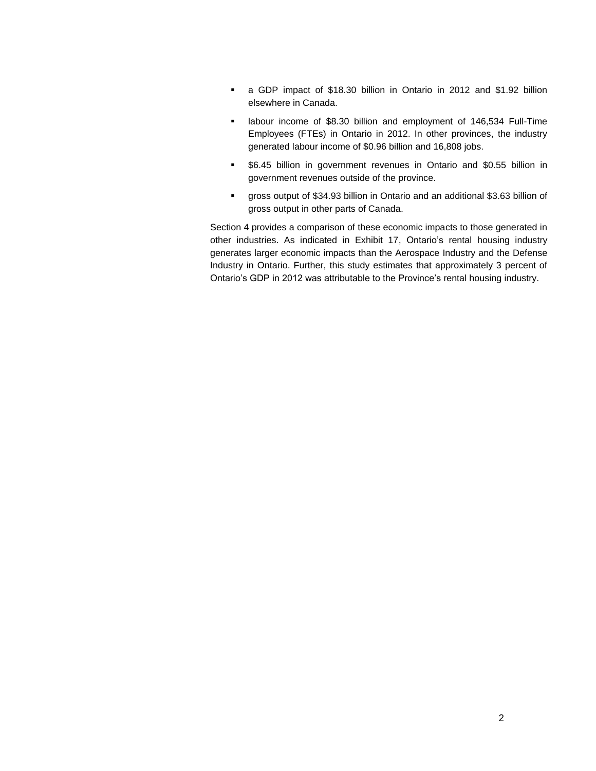- a GDP impact of \$18.30 billion in Ontario in 2012 and \$1.92 billion elsewhere in Canada.
- labour income of \$8.30 billion and employment of 146,534 Full-Time Employees (FTEs) in Ontario in 2012. In other provinces, the industry generated labour income of \$0.96 billion and 16,808 jobs.
- \$6.45 billion in government revenues in Ontario and \$0.55 billion in government revenues outside of the province.
- gross output of \$34.93 billion in Ontario and an additional \$3.63 billion of gross output in other parts of Canada.

Section 4 provides a comparison of these economic impacts to those generated in other industries. As indicated in Exhibit 17, Ontario's rental housing industry generates larger economic impacts than the Aerospace Industry and the Defense Industry in Ontario. Further, this study estimates that approximately 3 percent of Ontario's GDP in 2012 was attributable to the Province's rental housing industry.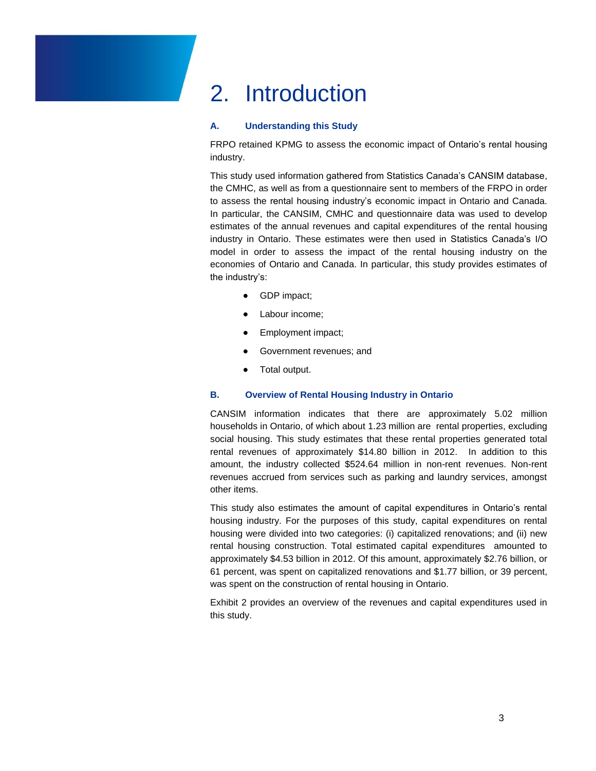## <span id="page-4-0"></span>2. Introduction

### **A. Understanding this Study**

FRPO retained KPMG to assess the economic impact of Ontario's rental housing industry.

This study used information gathered from Statistics Canada's CANSIM database, the CMHC, as well as from a questionnaire sent to members of the FRPO in order to assess the rental housing industry's economic impact in Ontario and Canada. In particular, the CANSIM, CMHC and questionnaire data was used to develop estimates of the annual revenues and capital expenditures of the rental housing industry in Ontario. These estimates were then used in Statistics Canada's I/O model in order to assess the impact of the rental housing industry on the economies of Ontario and Canada. In particular, this study provides estimates of the industry's:

- GDP impact;
- Labour income;
- Employment impact;
- Government revenues; and
- Total output.

### **B. Overview of Rental Housing Industry in Ontario**

CANSIM information indicates that there are approximately 5.02 million households in Ontario, of which about 1.23 million are rental properties, excluding social housing. This study estimates that these rental properties generated total rental revenues of approximately \$14.80 billion in 2012. In addition to this amount, the industry collected \$524.64 million in non-rent revenues. Non-rent revenues accrued from services such as parking and laundry services, amongst other items.

This study also estimates the amount of capital expenditures in Ontario's rental housing industry. For the purposes of this study, capital expenditures on rental housing were divided into two categories: (i) capitalized renovations; and (ii) new rental housing construction. Total estimated capital expenditures amounted to approximately \$4.53 billion in 2012. Of this amount, approximately \$2.76 billion, or 61 percent, was spent on capitalized renovations and \$1.77 billion, or 39 percent, was spent on the construction of rental housing in Ontario.

Exhibit 2 provides an overview of the revenues and capital expenditures used in this study.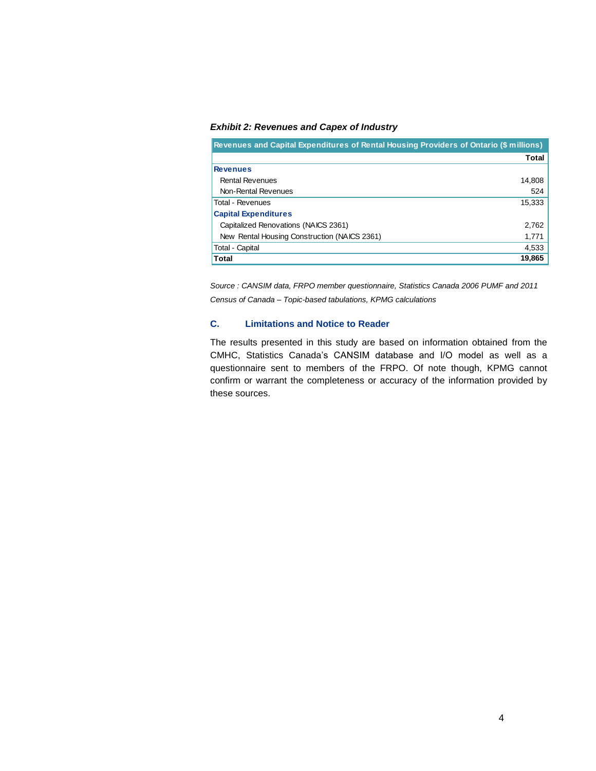### *Exhibit 2: Revenues and Capex of Industry*

| Revenues and Capital Expenditures of Rental Housing Providers of Ontario (\$ millions) |        |  |  |
|----------------------------------------------------------------------------------------|--------|--|--|
|                                                                                        | Total  |  |  |
| Revenues                                                                               |        |  |  |
| <b>Rental Revenues</b>                                                                 | 14.808 |  |  |
| Non-Rental Revenues                                                                    | 524    |  |  |
| Total - Revenues                                                                       | 15,333 |  |  |
| <b>Capital Expenditures</b>                                                            |        |  |  |
| Capitalized Renovations (NAICS 2361)                                                   | 2.762  |  |  |
| New Rental Housing Construction (NAICS 2361)                                           | 1,771  |  |  |
| Total - Capital                                                                        | 4,533  |  |  |
| Total                                                                                  | 19,865 |  |  |

*Source : CANSIM data, FRPO member questionnaire, Statistics Canada 2006 PUMF and 2011 Census of Canada – Topic-based tabulations, KPMG calculations*

### **C. Limitations and Notice to Reader**

The results presented in this study are based on information obtained from the CMHC, Statistics Canada's CANSIM database and I/O model as well as a questionnaire sent to members of the FRPO. Of note though, KPMG cannot confirm or warrant the completeness or accuracy of the information provided by these sources.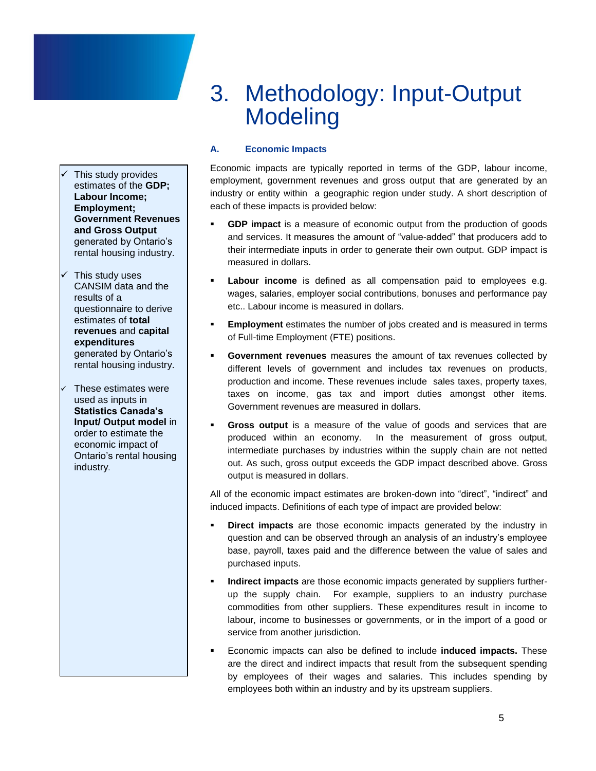This study provides estimates of the **GDP; Labour Income; Employment; Government Revenues and Gross Output** generated by Ontario's rental housing industry.

- This study uses CANSIM data and the results of a questionnaire to derive estimates of **total revenues** and **capital expenditures** generated by Ontario's rental housing industry.
- These estimates were used as inputs in **Statistics Canada's Input/ Output model** in order to estimate the economic impact of Ontario's rental housing industry.

## <span id="page-6-0"></span>3. Methodology: Input-Output **Modeling**

### **A. Economic Impacts**

Economic impacts are typically reported in terms of the GDP, labour income, employment, government revenues and gross output that are generated by an industry or entity within a geographic region under study. A short description of each of these impacts is provided below:

- **GDP impact** is a measure of economic output from the production of goods and services. It measures the amount of "value-added" that producers add to their intermediate inputs in order to generate their own output. GDP impact is measured in dollars.
- **Labour income** is defined as all compensation paid to employees e.g. wages, salaries, employer social contributions, bonuses and performance pay etc.. Labour income is measured in dollars.
- **Employment** estimates the number of jobs created and is measured in terms of Full-time Employment (FTE) positions.
- **Government revenues** measures the amount of tax revenues collected by different levels of government and includes tax revenues on products, production and income. These revenues include sales taxes, property taxes, taxes on income, gas tax and import duties amongst other items. Government revenues are measured in dollars.
- **Gross output** is a measure of the value of goods and services that are produced within an economy. In the measurement of gross output, intermediate purchases by industries within the supply chain are not netted out. As such, gross output exceeds the GDP impact described above. Gross output is measured in dollars.

All of the economic impact estimates are broken-down into "direct", "indirect" and induced impacts. Definitions of each type of impact are provided below:

- **Direct impacts** are those economic impacts generated by the industry in question and can be observed through an analysis of an industry's employee base, payroll, taxes paid and the difference between the value of sales and purchased inputs.
- **Indirect impacts** are those economic impacts generated by suppliers furtherup the supply chain. For example, suppliers to an industry purchase commodities from other suppliers. These expenditures result in income to labour, income to businesses or governments, or in the import of a good or service from another jurisdiction.
- Economic impacts can also be defined to include **induced impacts.** These are the direct and indirect impacts that result from the subsequent spending by employees of their wages and salaries. This includes spending by employees both within an industry and by its upstream suppliers.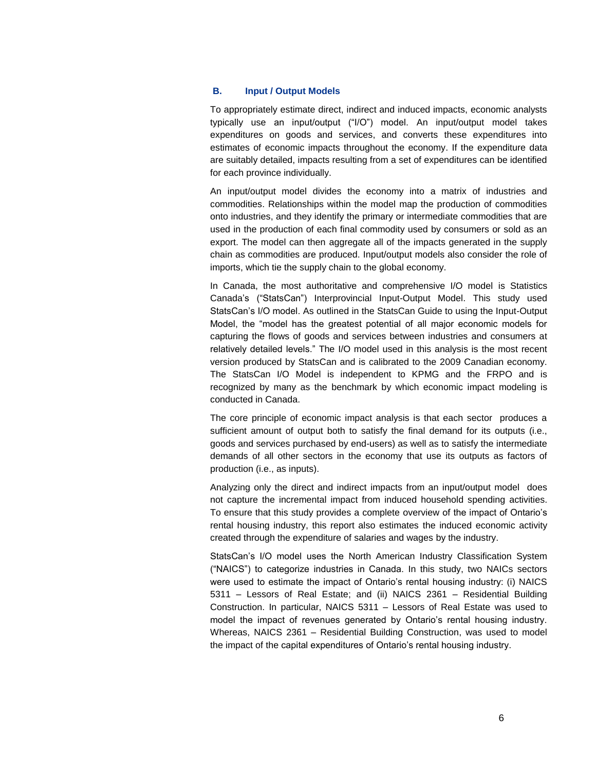### **B. Input / Output Models**

To appropriately estimate direct, indirect and induced impacts, economic analysts typically use an input/output ("I/O") model. An input/output model takes expenditures on goods and services, and converts these expenditures into estimates of economic impacts throughout the economy. If the expenditure data are suitably detailed, impacts resulting from a set of expenditures can be identified for each province individually.

An input/output model divides the economy into a matrix of industries and commodities. Relationships within the model map the production of commodities onto industries, and they identify the primary or intermediate commodities that are used in the production of each final commodity used by consumers or sold as an export. The model can then aggregate all of the impacts generated in the supply chain as commodities are produced. Input/output models also consider the role of imports, which tie the supply chain to the global economy.

In Canada, the most authoritative and comprehensive I/O model is Statistics Canada's ("StatsCan") Interprovincial Input-Output Model. This study used StatsCan's I/O model. As outlined in the StatsCan Guide to using the Input-Output Model, the "model has the greatest potential of all major economic models for capturing the flows of goods and services between industries and consumers at relatively detailed levels." The I/O model used in this analysis is the most recent version produced by StatsCan and is calibrated to the 2009 Canadian economy. The StatsCan I/O Model is independent to KPMG and the FRPO and is recognized by many as the benchmark by which economic impact modeling is conducted in Canada.

The core principle of economic impact analysis is that each sector produces a sufficient amount of output both to satisfy the final demand for its outputs (i.e., goods and services purchased by end-users) as well as to satisfy the intermediate demands of all other sectors in the economy that use its outputs as factors of production (i.e., as inputs).

Analyzing only the direct and indirect impacts from an input/output model does not capture the incremental impact from induced household spending activities. To ensure that this study provides a complete overview of the impact of Ontario's rental housing industry, this report also estimates the induced economic activity created through the expenditure of salaries and wages by the industry.

StatsCan's I/O model uses the North American Industry Classification System ("NAICS") to categorize industries in Canada. In this study, two NAICs sectors were used to estimate the impact of Ontario's rental housing industry: (i) NAICS 5311 – Lessors of Real Estate; and (ii) NAICS 2361 – Residential Building Construction. In particular, NAICS 5311 – Lessors of Real Estate was used to model the impact of revenues generated by Ontario's rental housing industry. Whereas, NAICS 2361 – Residential Building Construction, was used to model the impact of the capital expenditures of Ontario's rental housing industry.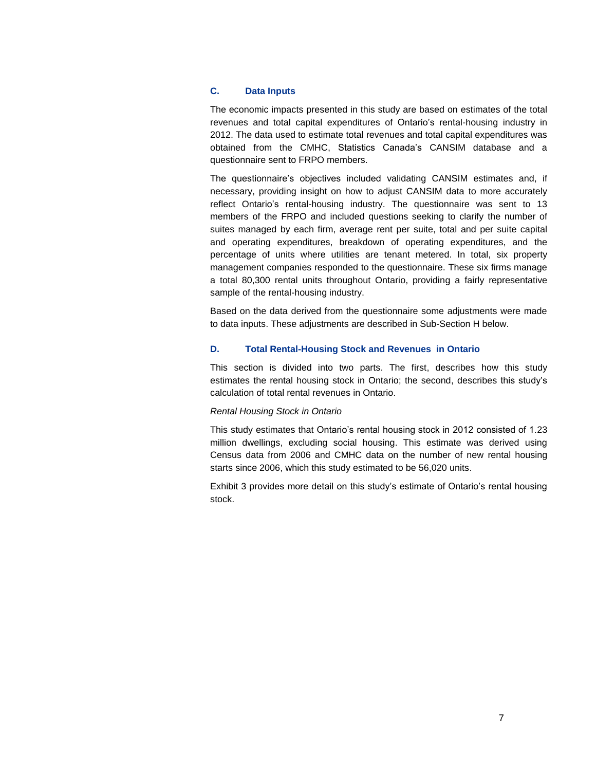### **C. Data Inputs**

The economic impacts presented in this study are based on estimates of the total revenues and total capital expenditures of Ontario's rental-housing industry in 2012. The data used to estimate total revenues and total capital expenditures was obtained from the CMHC, Statistics Canada's CANSIM database and a questionnaire sent to FRPO members.

The questionnaire's objectives included validating CANSIM estimates and, if necessary, providing insight on how to adjust CANSIM data to more accurately reflect Ontario's rental-housing industry. The questionnaire was sent to 13 members of the FRPO and included questions seeking to clarify the number of suites managed by each firm, average rent per suite, total and per suite capital and operating expenditures, breakdown of operating expenditures, and the percentage of units where utilities are tenant metered. In total, six property management companies responded to the questionnaire. These six firms manage a total 80,300 rental units throughout Ontario, providing a fairly representative sample of the rental-housing industry.

Based on the data derived from the questionnaire some adjustments were made to data inputs. These adjustments are described in Sub-Section H below.

### **D. Total Rental-Housing Stock and Revenues in Ontario**

This section is divided into two parts. The first, describes how this study estimates the rental housing stock in Ontario; the second, describes this study's calculation of total rental revenues in Ontario.

### *Rental Housing Stock in Ontario*

This study estimates that Ontario's rental housing stock in 2012 consisted of 1.23 million dwellings, excluding social housing. This estimate was derived using Census data from 2006 and CMHC data on the number of new rental housing starts since 2006, which this study estimated to be 56,020 units.

Exhibit 3 provides more detail on this study's estimate of Ontario's rental housing stock.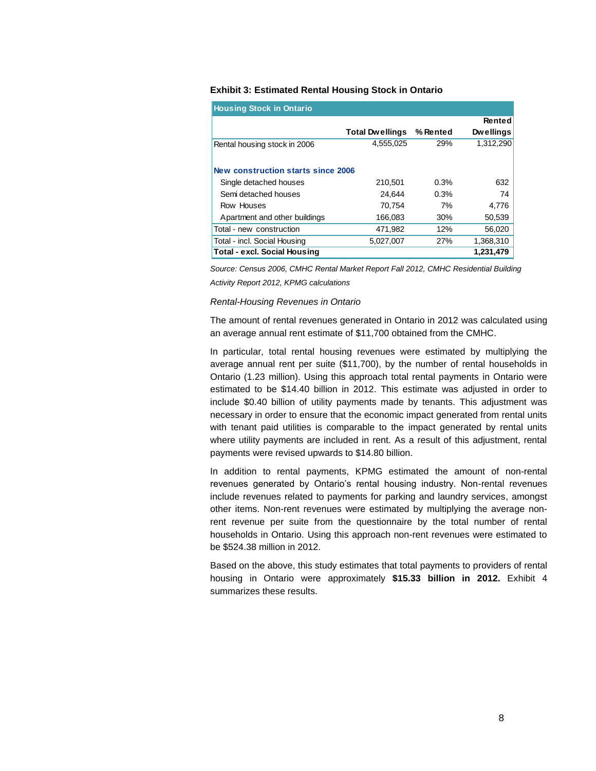### **Exhibit 3: Estimated Rental Housing Stock in Ontario**

| <b>Housing Stock in Ontario</b>     |                        |          |                  |
|-------------------------------------|------------------------|----------|------------------|
|                                     |                        |          | Rented           |
|                                     | <b>Total Dwellings</b> | % Rented | <b>Dwellings</b> |
| Rental housing stock in 2006        | 4.555.025              | 29%      | 1,312,290        |
|                                     |                        |          |                  |
| New construction starts since 2006  |                        |          |                  |
| Single detached houses              | 210,501                | 0.3%     | 632              |
| Semi detached houses                | 24.644                 | 0.3%     | 74               |
| Row Houses                          | 70.754                 | 7%       | 4,776            |
| Apartment and other buildings       | 166.083                | 30%      | 50,539           |
| Total - new construction            | 471.982                | 12%      | 56,020           |
| Total - incl. Social Housing        | 5,027,007              | 27%      | 1.368.310        |
| <b>Total - excl. Social Housing</b> |                        |          | 1,231,479        |

*Source: Census 2006, CMHC Rental Market Report Fall 2012, CMHC Residential Building Activity Report 2012, KPMG calculations* 

#### *Rental-Housing Revenues in Ontario*

The amount of rental revenues generated in Ontario in 2012 was calculated using an average annual rent estimate of \$11,700 obtained from the CMHC.

In particular, total rental housing revenues were estimated by multiplying the average annual rent per suite (\$11,700), by the number of rental households in Ontario (1.23 million). Using this approach total rental payments in Ontario were estimated to be \$14.40 billion in 2012. This estimate was adjusted in order to include \$0.40 billion of utility payments made by tenants. This adjustment was necessary in order to ensure that the economic impact generated from rental units with tenant paid utilities is comparable to the impact generated by rental units where utility payments are included in rent. As a result of this adjustment, rental payments were revised upwards to \$14.80 billion.

In addition to rental payments, KPMG estimated the amount of non-rental revenues generated by Ontario's rental housing industry. Non-rental revenues include revenues related to payments for parking and laundry services, amongst other items. Non-rent revenues were estimated by multiplying the average nonrent revenue per suite from the questionnaire by the total number of rental households in Ontario. Using this approach non-rent revenues were estimated to be \$524.38 million in 2012.

Based on the above, this study estimates that total payments to providers of rental housing in Ontario were approximately **\$15.33 billion in 2012.** Exhibit 4 summarizes these results.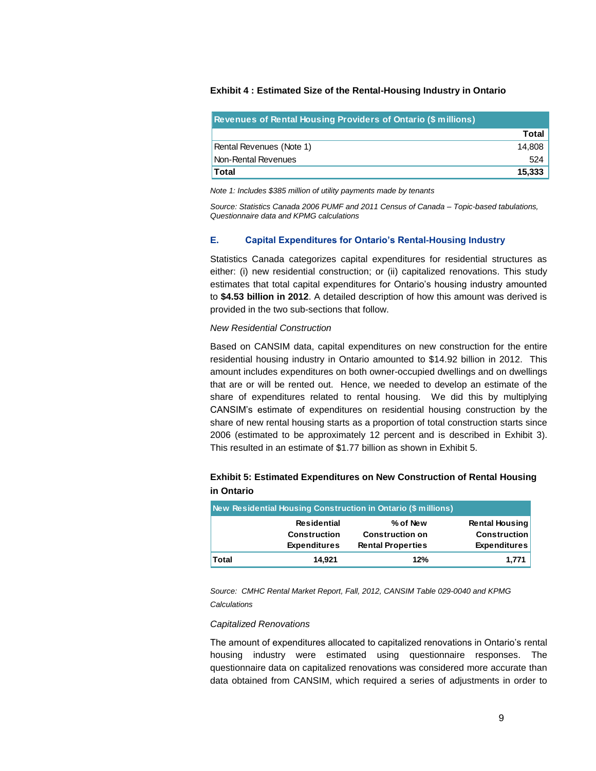### **Exhibit 4 : Estimated Size of the Rental-Housing Industry in Ontario**

| <b>Revenues of Rental Housing Providers of Ontario (\$ millions)</b> |         |
|----------------------------------------------------------------------|---------|
|                                                                      | Total I |
| Rental Revenues (Note 1)                                             | 14.808  |
| Non-Rental Revenues                                                  | 524     |
| <b>Total</b>                                                         | 15.333  |

*Note 1: Includes \$385 million of utility payments made by tenants*

*Source: Statistics Canada 2006 PUMF and 2011 Census of Canada – Topic-based tabulations, Questionnaire data and KPMG calculations*

### **E. Capital Expenditures for Ontario's Rental-Housing Industry**

Statistics Canada categorizes capital expenditures for residential structures as either: (i) new residential construction; or (ii) capitalized renovations. This study estimates that total capital expenditures for Ontario's housing industry amounted to **\$4.53 billion in 2012**. A detailed description of how this amount was derived is provided in the two sub-sections that follow.

#### *New Residential Construction*

Based on CANSIM data, capital expenditures on new construction for the entire residential housing industry in Ontario amounted to \$14.92 billion in 2012. This amount includes expenditures on both owner-occupied dwellings and on dwellings that are or will be rented out. Hence, we needed to develop an estimate of the share of expenditures related to rental housing. We did this by multiplying CANSIM's estimate of expenditures on residential housing construction by the share of new rental housing starts as a proportion of total construction starts since 2006 (estimated to be approximately 12 percent and is described in Exhibit 3). This resulted in an estimate of \$1.77 billion as shown in Exhibit 5.

### **Exhibit 5: Estimated Expenditures on New Construction of Rental Housing in Ontario**

| New Residential Housing Construction in Ontario (\$ millions) |                                                                  |                                                                |                                                                     |  |  |
|---------------------------------------------------------------|------------------------------------------------------------------|----------------------------------------------------------------|---------------------------------------------------------------------|--|--|
|                                                               | <b>Residential</b><br><b>Construction</b><br><b>Expenditures</b> | % of New<br><b>Construction on</b><br><b>Rental Properties</b> | <b>Rental Housing</b><br><b>Construction</b><br><b>Expenditures</b> |  |  |
| <b>Total</b>                                                  | 14.921                                                           | 12%                                                            | 1,771                                                               |  |  |

*Source: CMHC Rental Market Report, Fall, 2012, CANSIM Table 029-0040 and KPMG Calculations* 

#### *Capitalized Renovations*

The amount of expenditures allocated to capitalized renovations in Ontario's rental housing industry were estimated using questionnaire responses. The questionnaire data on capitalized renovations was considered more accurate than data obtained from CANSIM, which required a series of adjustments in order to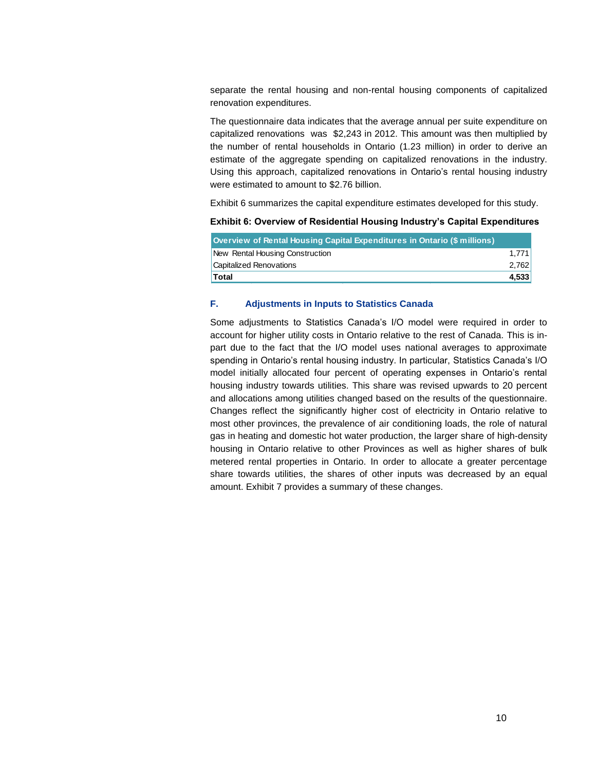separate the rental housing and non-rental housing components of capitalized renovation expenditures.

The questionnaire data indicates that the average annual per suite expenditure on capitalized renovations was \$2,243 in 2012. This amount was then multiplied by the number of rental households in Ontario (1.23 million) in order to derive an estimate of the aggregate spending on capitalized renovations in the industry. Using this approach, capitalized renovations in Ontario's rental housing industry were estimated to amount to \$2.76 billion.

Exhibit 6 summarizes the capital expenditure estimates developed for this study.

### **Exhibit 6: Overview of Residential Housing Industry's Capital Expenditures**

| Overview of Rental Housing Capital Expenditures in Ontario (\$ millions) |       |
|--------------------------------------------------------------------------|-------|
| New Rental Housing Construction                                          | 1,771 |
| <b>Capitalized Renovations</b>                                           | 2,762 |
| <b>Total</b>                                                             | 4.533 |

### **F. Adjustments in Inputs to Statistics Canada**

Some adjustments to Statistics Canada's I/O model were required in order to account for higher utility costs in Ontario relative to the rest of Canada. This is inpart due to the fact that the I/O model uses national averages to approximate spending in Ontario's rental housing industry. In particular, Statistics Canada's I/O model initially allocated four percent of operating expenses in Ontario's rental housing industry towards utilities. This share was revised upwards to 20 percent and allocations among utilities changed based on the results of the questionnaire. Changes reflect the significantly higher cost of electricity in Ontario relative to most other provinces, the prevalence of air conditioning loads, the role of natural gas in heating and domestic hot water production, the larger share of high-density housing in Ontario relative to other Provinces as well as higher shares of bulk metered rental properties in Ontario. In order to allocate a greater percentage share towards utilities, the shares of other inputs was decreased by an equal amount. Exhibit 7 provides a summary of these changes.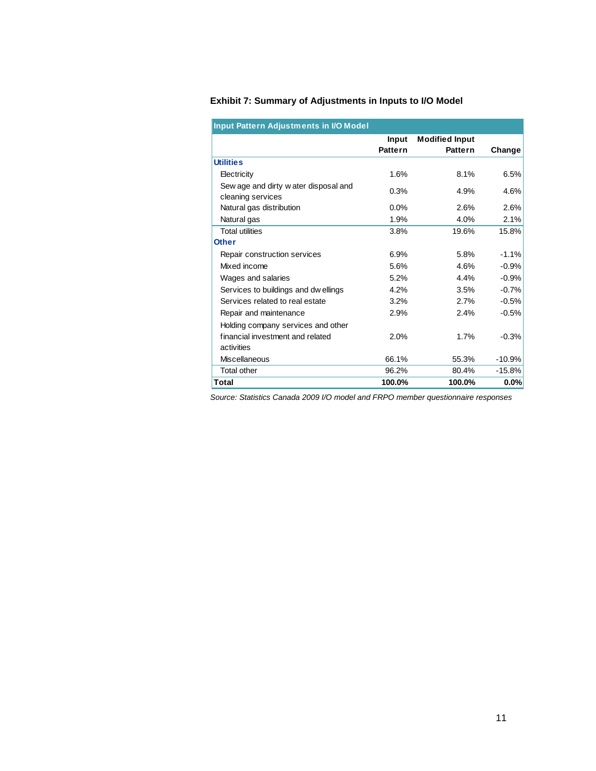|                                                           | Input<br><b>Pattern</b> | <b>Modified Input</b><br><b>Pattern</b> | Change   |
|-----------------------------------------------------------|-------------------------|-----------------------------------------|----------|
| <b>Utilities</b>                                          |                         |                                         |          |
| Electricity                                               | 1.6%                    | 8.1%                                    | 6.5%     |
| Sew age and dirty water disposal and<br>cleaning services | 0.3%                    | 4.9%                                    | 4.6%     |
| Natural gas distribution                                  | 0.0%                    | 2.6%                                    | 2.6%     |
| Natural gas                                               | 1.9%                    | 4.0%                                    | 2.1%     |
| <b>Total utilities</b>                                    | 3.8%                    | 19.6%                                   | 15.8%    |
| <b>Other</b>                                              |                         |                                         |          |
| Repair construction services                              | 6.9%                    | 5.8%                                    | $-1.1%$  |
| Mixed income                                              | 5.6%                    | 4.6%                                    | $-0.9%$  |
| Wages and salaries                                        | 5.2%                    | 4.4%                                    | $-0.9%$  |
| Services to buildings and dw ellings                      | 4.2%                    | 3.5%                                    | $-0.7%$  |
| Services related to real estate                           | 3.2%                    | 2.7%                                    | $-0.5%$  |
| Repair and maintenance                                    | 2.9%                    | 2.4%                                    | $-0.5%$  |
| Holding company services and other                        |                         |                                         |          |
| financial investment and related                          | 2.0%                    | 1.7%                                    | $-0.3%$  |
| activities                                                |                         |                                         |          |
| <b>Miscellaneous</b>                                      | 66.1%                   | 55.3%                                   | $-10.9%$ |
| <b>Total other</b>                                        | 96.2%                   | 80.4%                                   | $-15.8%$ |
| Total                                                     | 100.0%                  | 100.0%                                  | 0.0%     |

## **Exhibit 7: Summary of Adjustments in Inputs to I/O Model**

*Source: Statistics Canada 2009 I/O model and FRPO member questionnaire responses*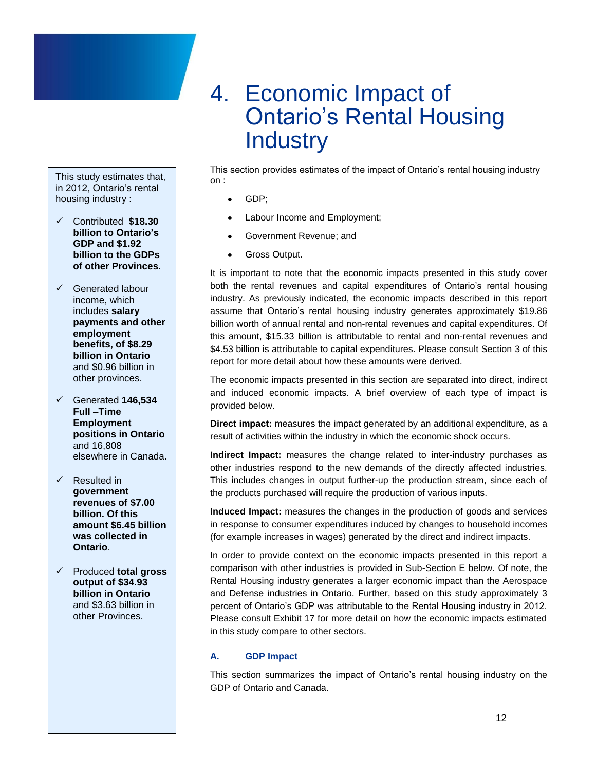## <span id="page-13-0"></span>4. Economic Impact of Ontario's Rental Housing **Industry**

This study estimates that, in 2012, Ontario's rental housing industry :

- Contributed **\$18.30 billion to Ontario's GDP and \$1.92 billion to the GDPs of other Provinces**.
- $\checkmark$  Generated labour income, which includes **salary payments and other employment benefits, of \$8.29 billion in Ontario**  and \$0.96 billion in other provinces.
- Generated **146,534 Full –Time Employment positions in Ontario** and 16,808 elsewhere in Canada.
- $\sqrt{\phantom{a}}$  Resulted in **government revenues of \$7.00 billion. Of this amount \$6.45 billion was collected in Ontario**.
- Produced **total gross output of \$34.93 billion in Ontario**  and \$3.63 billion in other Provinces.

This section provides estimates of the impact of Ontario's rental housing industry on :

- GDP;
- Labour Income and Employment;
- Government Revenue; and
- Gross Output.

It is important to note that the economic impacts presented in this study cover both the rental revenues and capital expenditures of Ontario's rental housing industry. As previously indicated, the economic impacts described in this report assume that Ontario's rental housing industry generates approximately \$19.86 billion worth of annual rental and non-rental revenues and capital expenditures. Of this amount, \$15.33 billion is attributable to rental and non-rental revenues and \$4.53 billion is attributable to capital expenditures. Please consult Section 3 of this report for more detail about how these amounts were derived.

The economic impacts presented in this section are separated into direct, indirect and induced economic impacts. A brief overview of each type of impact is provided below.

**Direct impact:** measures the impact generated by an additional expenditure, as a result of activities within the industry in which the economic shock occurs.

**Indirect Impact:** measures the change related to inter-industry purchases as other industries respond to the new demands of the directly affected industries. This includes changes in output further-up the production stream, since each of the products purchased will require the production of various inputs.

**Induced Impact:** measures the changes in the production of goods and services in response to consumer expenditures induced by changes to household incomes (for example increases in wages) generated by the direct and indirect impacts.

In order to provide context on the economic impacts presented in this report a comparison with other industries is provided in Sub-Section E below. Of note, the Rental Housing industry generates a larger economic impact than the Aerospace and Defense industries in Ontario. Further, based on this study approximately 3 percent of Ontario's GDP was attributable to the Rental Housing industry in 2012. Please consult Exhibit 17 for more detail on how the economic impacts estimated in this study compare to other sectors.

## **A. GDP Impact**

This section summarizes the impact of Ontario's rental housing industry on the GDP of Ontario and Canada.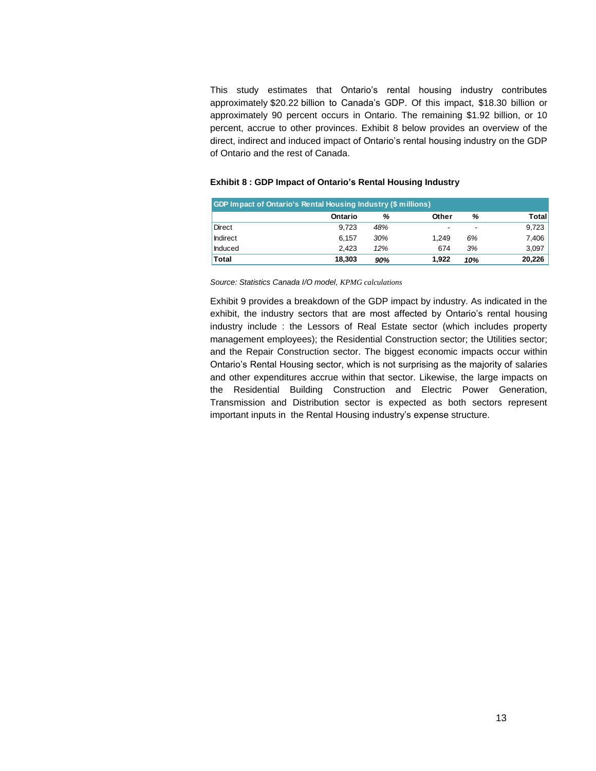This study estimates that Ontario's rental housing industry contributes approximately \$20.22 billion to Canada's GDP. Of this impact, \$18.30 billion or approximately 90 percent occurs in Ontario. The remaining \$1.92 billion, or 10 percent, accrue to other provinces. Exhibit 8 below provides an overview of the direct, indirect and induced impact of Ontario's rental housing industry on the GDP of Ontario and the rest of Canada.

### **Exhibit 8 : GDP Impact of Ontario's Rental Housing Industry**

| <b>GDP Impact of Ontario's Rental Housing Industry (\$ millions)</b> |         |     |       |                          |        |  |  |
|----------------------------------------------------------------------|---------|-----|-------|--------------------------|--------|--|--|
|                                                                      | Ontario | %   | Other | %                        | Total  |  |  |
| Direct                                                               | 9.723   | 48% | ۰     | $\overline{\phantom{a}}$ | 9,723  |  |  |
| Indirect                                                             | 6.157   | 30% | 1.249 | 6%                       | 7,406  |  |  |
| Induced                                                              | 2.423   | 12% | 674   | 3%                       | 3,097  |  |  |
| <b>Total</b>                                                         | 18.303  | 90% | 1.922 | 10%                      | 20.226 |  |  |

*Source: Statistics Canada I/O model, KPMG calculations*

Exhibit 9 provides a breakdown of the GDP impact by industry. As indicated in the exhibit, the industry sectors that are most affected by Ontario's rental housing industry include : the Lessors of Real Estate sector (which includes property management employees); the Residential Construction sector; the Utilities sector; and the Repair Construction sector. The biggest economic impacts occur within Ontario's Rental Housing sector, which is not surprising as the majority of salaries and other expenditures accrue within that sector. Likewise, the large impacts on the Residential Building Construction and Electric Power Generation, Transmission and Distribution sector is expected as both sectors represent important inputs in the Rental Housing industry's expense structure.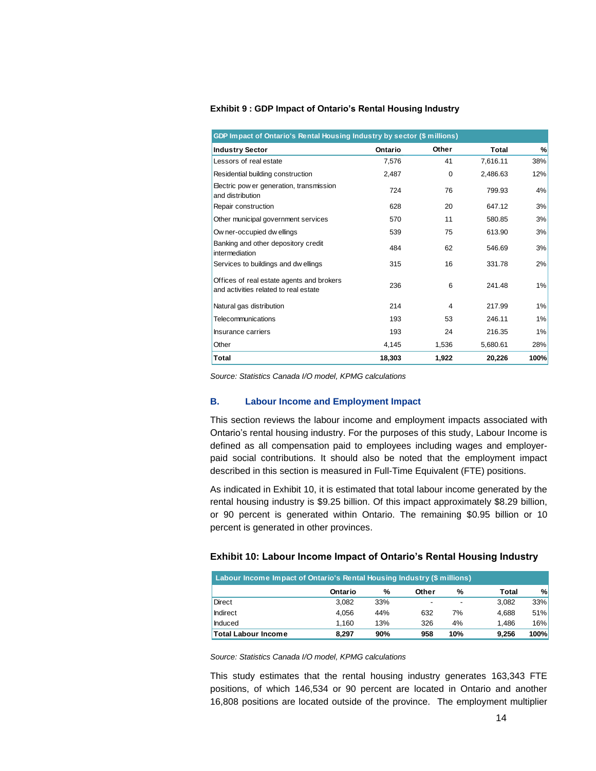### **Exhibit 9 : GDP Impact of Ontario's Rental Housing Industry**

| GDP Impact of Ontario's Rental Housing Industry by sector (\$ millions)            |         |       |          |       |  |  |  |
|------------------------------------------------------------------------------------|---------|-------|----------|-------|--|--|--|
| <b>Industry Sector</b>                                                             | Ontario | Other | Total    | %     |  |  |  |
| Lessors of real estate                                                             | 7,576   | 41    | 7,616.11 | 38%   |  |  |  |
| Residential building construction                                                  | 2,487   | 0     | 2,486.63 | 12%   |  |  |  |
| Electric pow er generation, transmission<br>and distribution                       | 724     | 76    | 799.93   | 4%    |  |  |  |
| Repair construction                                                                | 628     | 20    | 647.12   | 3%    |  |  |  |
| Other municipal government services                                                | 570     | 11    | 580.85   | 3%    |  |  |  |
| Ow ner-occupied dw ellings                                                         | 539     | 75    | 613.90   | 3%    |  |  |  |
| Banking and other depository credit<br>intermediation                              | 484     | 62    | 546.69   | 3%    |  |  |  |
| Services to buildings and dwellings                                                | 315     | 16    | 331.78   | 2%    |  |  |  |
| Offices of real estate agents and brokers<br>and activities related to real estate | 236     | 6     | 241.48   | 1%    |  |  |  |
| Natural gas distribution                                                           | 214     | 4     | 217.99   | $1\%$ |  |  |  |
| Telecommunications                                                                 | 193     | 53    | 246.11   | 1%    |  |  |  |
| Insurance carriers                                                                 | 193     | 24    | 216.35   | 1%    |  |  |  |
| Other                                                                              | 4,145   | 1,536 | 5,680.61 | 28%   |  |  |  |
| Total                                                                              | 18,303  | 1.922 | 20.226   | 100%  |  |  |  |

*Source: Statistics Canada I/O model, KPMG calculations*

### **B. Labour Income and Employment Impact**

This section reviews the labour income and employment impacts associated with Ontario's rental housing industry. For the purposes of this study, Labour Income is defined as all compensation paid to employees including wages and employerpaid social contributions. It should also be noted that the employment impact described in this section is measured in Full-Time Equivalent (FTE) positions.

As indicated in Exhibit 10, it is estimated that total labour income generated by the rental housing industry is \$9.25 billion. Of this impact approximately \$8.29 billion, or 90 percent is generated within Ontario. The remaining \$0.95 billion or 10 percent is generated in other provinces.

| Exhibit 10: Labour Income Impact of Ontario's Rental Housing Industry |  |  |
|-----------------------------------------------------------------------|--|--|
|-----------------------------------------------------------------------|--|--|

| Labour Income Impact of Ontario's Rental Housing Industry (\$ millions)         |         |     |       |     |              |      |  |
|---------------------------------------------------------------------------------|---------|-----|-------|-----|--------------|------|--|
|                                                                                 | Ontario | ℅   | Other | ℅   | <b>Total</b> | %    |  |
| Direct                                                                          | 3.082   | 33% |       |     | 3.082        | 33%  |  |
| <b>Indirect</b>                                                                 | 4.056   | 44% | 632   | 7%  | 4,688        | 51%  |  |
| Induced                                                                         | 1,160   | 13% | 326   | 4%  | 1,486        | 16%  |  |
| Total Labour Income                                                             | 8,297   | 90% | 958   | 10% | 9,256        | 100% |  |
| Source: Statistics Canada I/O model, KPMG calculations                          |         |     |       |     |              |      |  |
| This study estimates that the rental housing industry generates 163,343 FTE     |         |     |       |     |              |      |  |
| positions, of which 146,534 or 90 percent are located in Ontario and another    |         |     |       |     |              |      |  |
| 16,808 positions are located outside of the province. The employment multiplier |         |     |       |     |              |      |  |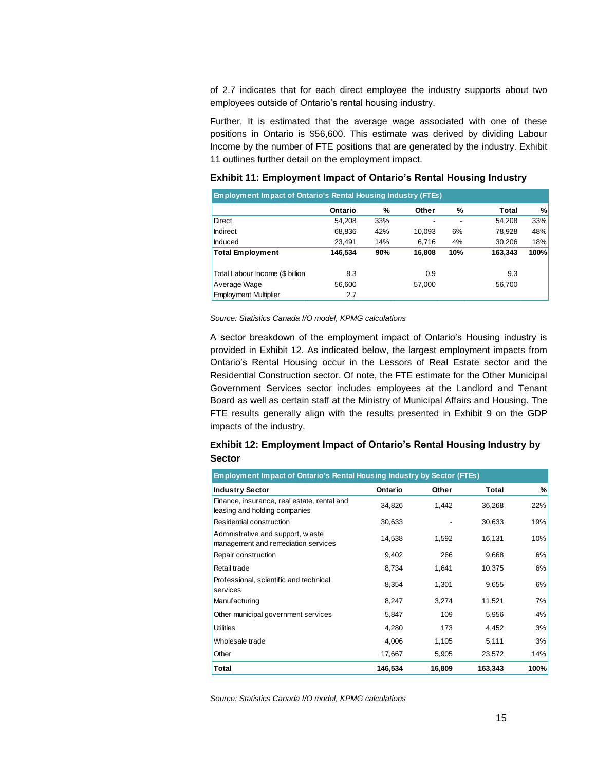of 2.7 indicates that for each direct employee the industry supports about two employees outside of Ontario's rental housing industry.

Further, It is estimated that the average wage associated with one of these positions in Ontario is \$56,600. This estimate was derived by dividing Labour Income by the number of FTE positions that are generated by the industry. Exhibit 11 outlines further detail on the employment impact.

| <b>Employment Impact of Ontario's Rental Housing Industry (FTEs)</b> |         |     |        |     |              |      |
|----------------------------------------------------------------------|---------|-----|--------|-----|--------------|------|
|                                                                      | Ontario | %   | Other  | %   | <b>Total</b> | %    |
| Direct                                                               | 54.208  | 33% |        |     | 54,208       | 33%  |
| Indirect                                                             | 68,836  | 42% | 10,093 | 6%  | 78,928       | 48%  |
| Induced                                                              | 23.491  | 14% | 6,716  | 4%  | 30.206       | 18%  |
| Total Employment                                                     | 146,534 | 90% | 16,808 | 10% | 163,343      | 100% |
| Total Labour Income (\$ billion                                      | 8.3     |     | 0.9    |     | 9.3          |      |
| Average Wage                                                         | 56,600  |     | 57,000 |     | 56,700       |      |
| <b>Employment Multiplier</b>                                         | 2.7     |     |        |     |              |      |

### **Exhibit 11: Employment Impact of Ontario's Rental Housing Industry**

*Source: Statistics Canada I/O model, KPMG calculations*

A sector breakdown of the employment impact of Ontario's Housing industry is provided in Exhibit 12. As indicated below, the largest employment impacts from Ontario's Rental Housing occur in the Lessors of Real Estate sector and the Residential Construction sector. Of note, the FTE estimate for the Other Municipal Government Services sector includes employees at the Landlord and Tenant Board as well as certain staff at the Ministry of Municipal Affairs and Housing. The FTE results generally align with the results presented in Exhibit 9 on the GDP impacts of the industry.

### **Exhibit 12: Employment Impact of Ontario's Rental Housing Industry by Sector**

| Employment Impact of Ontario's Rental Housing Industry by Sector (FTEs)      |         |        |         |      |  |  |
|------------------------------------------------------------------------------|---------|--------|---------|------|--|--|
| <b>Industry Sector</b>                                                       | Ontario | Other  | Total   | %    |  |  |
| Finance, insurance, real estate, rental and<br>leasing and holding companies | 34,826  | 1,442  | 36,268  | 22%  |  |  |
| Residential construction                                                     | 30,633  |        | 30,633  | 19%  |  |  |
| Administrative and support, w aste<br>management and remediation services    | 14,538  | 1,592  | 16,131  | 10%  |  |  |
| Repair construction                                                          | 9,402   | 266    | 9,668   | 6%   |  |  |
| Retail trade                                                                 | 8,734   | 1,641  | 10,375  | 6%   |  |  |
| Professional, scientific and technical<br>services                           | 8,354   | 1,301  | 9,655   | 6%   |  |  |
| Manufacturing                                                                | 8,247   | 3,274  | 11,521  | 7%   |  |  |
| Other municipal government services                                          | 5,847   | 109    | 5,956   | 4%   |  |  |
| <b>Utilities</b>                                                             | 4,280   | 173    | 4,452   | 3%   |  |  |
| Wholesale trade                                                              | 4,006   | 1,105  | 5,111   | 3%   |  |  |
| Other                                                                        | 17,667  | 5,905  | 23,572  | 14%  |  |  |
| Total                                                                        | 146,534 | 16,809 | 163,343 | 100% |  |  |

*Source: Statistics Canada I/O model, KPMG calculations*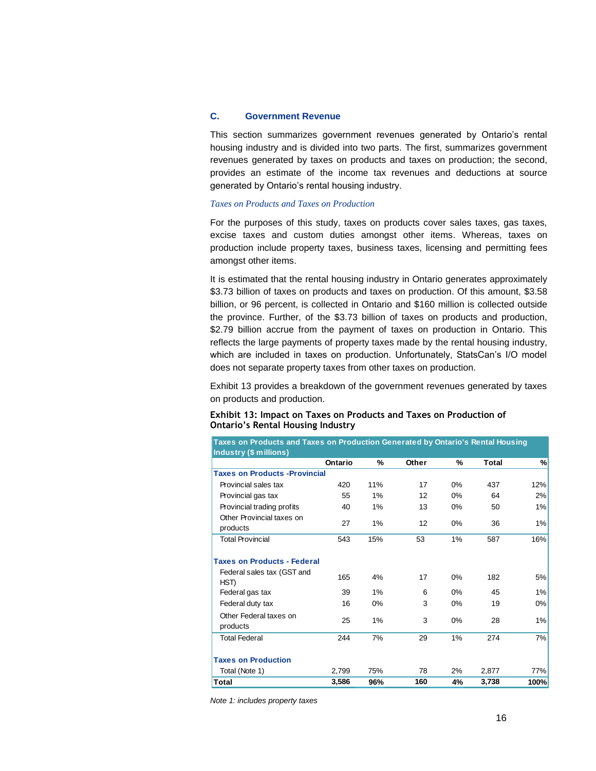### **C. Government Revenue**

This section summarizes government revenues generated by Ontario's rental housing industry and is divided into two parts. The first, summarizes government revenues generated by taxes on products and taxes on production; the second, provides an estimate of the income tax revenues and deductions at source generated by Ontario's rental housing industry.

### *Taxes on Products and Taxes on Production*

For the purposes of this study, taxes on products cover sales taxes, gas taxes, excise taxes and custom duties amongst other items. Whereas, taxes on production include property taxes, business taxes, licensing and permitting fees amongst other items.

It is estimated that the rental housing industry in Ontario generates approximately \$3.73 billion of taxes on products and taxes on production. Of this amount, \$3.58 billion, or 96 percent, is collected in Ontario and \$160 million is collected outside the province. Further, of the \$3.73 billion of taxes on products and production, \$2.79 billion accrue from the payment of taxes on production in Ontario. This reflects the large payments of property taxes made by the rental housing industry, which are included in taxes on production. Unfortunately, StatsCan's I/O model does not separate property taxes from other taxes on production.

Exhibit 13 provides a breakdown of the government revenues generated by taxes on products and production.

| Exhibit 13: Impact on Taxes on Products and Taxes on Production of |  |
|--------------------------------------------------------------------|--|
| <b>Ontario's Rental Housing Industry</b>                           |  |

| Taxes on Products and Taxes on Production Generated by Ontario's Rental Housing |         |       |       |       |              |      |
|---------------------------------------------------------------------------------|---------|-------|-------|-------|--------------|------|
| <b>Industry (\$ millions)</b>                                                   |         |       |       |       |              |      |
|                                                                                 | Ontario | ℅     | Other | %     | <b>Total</b> | %    |
| <b>Taxes on Products - Provincial</b>                                           |         |       |       |       |              |      |
| Provincial sales tax                                                            | 420     | 11%   | 17    | 0%    | 437          | 12%  |
| Provincial gas tax                                                              | 55      | 1%    | 12    | $0\%$ | 64           | 2%   |
| Provincial trading profits                                                      | 40      | 1%    | 13    | 0%    | 50           | 1%   |
| Other Provincial taxes on<br>products                                           | 27      | 1%    | 12    | 0%    | 36           | 1%   |
| <b>Total Provincial</b>                                                         | 543     | 15%   | 53    | 1%    | 587          | 16%  |
| <b>Taxes on Products - Federal</b>                                              |         |       |       |       |              |      |
| Federal sales tax (GST and<br>HST)                                              | 165     | 4%    | 17    | 0%    | 182          | 5%   |
| Federal gas tax                                                                 | 39      | 1%    | 6     | 0%    | 45           | 1%   |
| Federal duty tax                                                                | 16      | $0\%$ | 3     | 0%    | 19           | 0%   |
| Other Federal taxes on<br>products                                              | 25      | 1%    | 3     | 0%    | 28           | 1%   |
| <b>Total Federal</b>                                                            | 244     | 7%    | 29    | 1%    | 274          | 7%   |
| <b>Taxes on Production</b>                                                      |         |       |       |       |              |      |
| Total (Note 1)                                                                  | 2.799   | 75%   | 78    | 2%    | 2,877        | 77%  |
| Total                                                                           | 3,586   | 96%   | 160   | 4%    | 3,738        | 100% |

*Note 1: includes property taxes*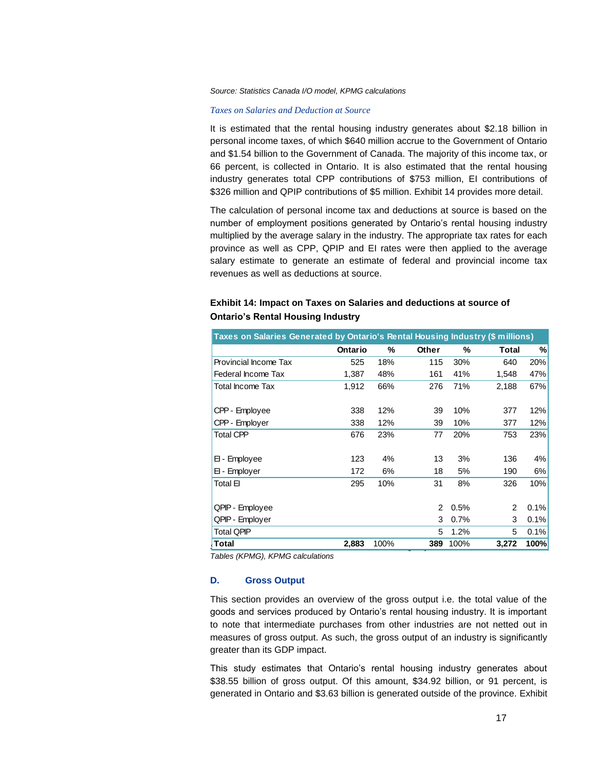#### *Source: Statistics Canada I/O model, KPMG calculations*

#### *Taxes on Salaries and Deduction at Source*

It is estimated that the rental housing industry generates about \$2.18 billion in personal income taxes, of which \$640 million accrue to the Government of Ontario and \$1.54 billion to the Government of Canada. The majority of this income tax, or 66 percent, is collected in Ontario. It is also estimated that the rental housing industry generates total CPP contributions of \$753 million, EI contributions of \$326 million and QPIP contributions of \$5 million. Exhibit 14 provides more detail.

The calculation of personal income tax and deductions at source is based on the number of employment positions generated by Ontario's rental housing industry multiplied by the average salary in the industry. The appropriate tax rates for each province as well as CPP, QPIP and EI rates were then applied to the average salary estimate to generate an estimate of federal and provincial income tax revenues as well as deductions at source.

| Taxes on Salaries Generated by Ontario's Rental Housing Industry (\$ millions) |         |      |                |      |       |      |
|--------------------------------------------------------------------------------|---------|------|----------------|------|-------|------|
|                                                                                | Ontario | %    | Other          | %    | Total | %    |
| Provincial Income Tax                                                          | 525     | 18%  | 115            | 30%  | 640   | 20%  |
| Federal Income Tax                                                             | 1,387   | 48%  | 161            | 41%  | 1,548 | 47%  |
| Total Income Tax                                                               | 1,912   | 66%  | 276            | 71%  | 2,188 | 67%  |
|                                                                                |         |      |                |      |       |      |
| CPP - Employee                                                                 | 338     | 12%  | 39             | 10%  | 377   | 12%  |
| CPP - Employer                                                                 | 338     | 12%  | 39             | 10%  | 377   | 12%  |
| <b>Total CPP</b>                                                               | 676     | 23%  | 77             | 20%  | 753   | 23%  |
|                                                                                |         |      |                |      |       |      |
| EI - Employee                                                                  | 123     | 4%   | 13             | 3%   | 136   | 4%   |
| El - Employer                                                                  | 172     | 6%   | 18             | 5%   | 190   | 6%   |
| Total El                                                                       | 295     | 10%  | 31             | 8%   | 326   | 10%  |
|                                                                                |         |      |                |      |       |      |
| QPIP - Employee                                                                |         |      | $\overline{2}$ | 0.5% | 2     | 0.1% |
| QPIP - Employer                                                                |         |      | 3              | 0.7% | 3     | 0.1% |
| <b>Total QPIP</b>                                                              |         |      | 5              | 1.2% | 5     | 0.1% |
| Total                                                                          | 2,883   | 100% | 389            | 100% | 3,272 | 100% |

## **Exhibit 14: Impact on Taxes on Salaries and deductions at source of Ontario's Rental Housing Industry**

*Tables (KPMG), KPMG calculations*

### **D. Gross Output**

This section provides an overview of the gross output i.e. the total value of the goods and services produced by Ontario's rental housing industry. It is important to note that intermediate purchases from other industries are not netted out in measures of gross output. As such, the gross output of an industry is significantly greater than its GDP impact.

This study estimates that Ontario's rental housing industry generates about \$38.55 billion of gross output. Of this amount, \$34.92 billion, or 91 percent, is generated in Ontario and \$3.63 billion is generated outside of the province. Exhibit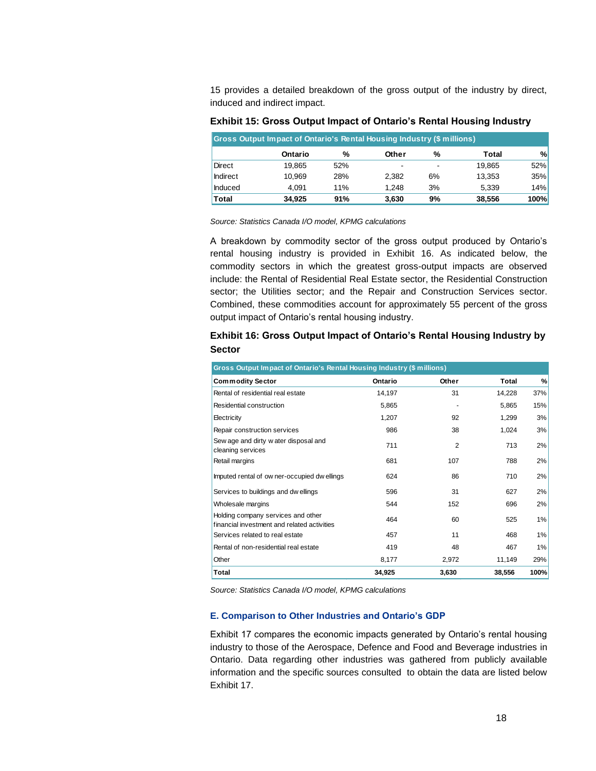15 provides a detailed breakdown of the gross output of the industry by direct, induced and indirect impact.

| Gross Output Impact of Ontario's Rental Housing Industry (\$ millions) |         |     |       |                          |        |      |
|------------------------------------------------------------------------|---------|-----|-------|--------------------------|--------|------|
|                                                                        | Ontario | %   | Other | %                        | Total  | %    |
| Direct                                                                 | 19.865  | 52% | ۰     | $\overline{\phantom{0}}$ | 19.865 | 52%  |
| <b>Indirect</b>                                                        | 10.969  | 28% | 2.382 | 6%                       | 13.353 | 35%  |
| <b>Induced</b>                                                         | 4.091   | 11% | 1.248 | 3%                       | 5.339  | 14%  |
| <b>Total</b>                                                           | 34.925  | 91% | 3,630 | 9%                       | 38,556 | 100% |

**Exhibit 15: Gross Output Impact of Ontario's Rental Housing Industry**

*Source: Statistics Canada I/O model, KPMG calculations*

A breakdown by commodity sector of the gross output produced by Ontario's rental housing industry is provided in Exhibit 16. As indicated below, the commodity sectors in which the greatest gross-output impacts are observed include: the Rental of Residential Real Estate sector, the Residential Construction sector; the Utilities sector; and the Repair and Construction Services sector. Combined, these commodities account for approximately 55 percent of the gross output impact of Ontario's rental housing industry.

### **Exhibit 16: Gross Output Impact of Ontario's Rental Housing Industry by Sector**

| Gross Output Impact of Ontario's Rental Housing Industry (\$ millions)            |         |                |        |      |  |  |
|-----------------------------------------------------------------------------------|---------|----------------|--------|------|--|--|
| <b>Commodity Sector</b>                                                           | Ontario | Other          | Total  | %    |  |  |
| Rental of residential real estate                                                 | 14,197  | 31             | 14,228 | 37%  |  |  |
| Residential construction                                                          | 5,865   |                | 5,865  | 15%  |  |  |
| Electricity                                                                       | 1,207   | 92             | 1,299  | 3%   |  |  |
| Repair construction services                                                      | 986     | 38             | 1,024  | 3%   |  |  |
| Sew age and dirty water disposal and<br>cleaning services                         | 711     | $\overline{2}$ | 713    | 2%   |  |  |
| Retail margins                                                                    | 681     | 107            | 788    | 2%   |  |  |
| Imputed rental of ow ner-occupied dw ellings                                      | 624     | 86             | 710    | 2%   |  |  |
| Services to buildings and dw ellings                                              | 596     | 31             | 627    | 2%   |  |  |
| Wholesale margins                                                                 | 544     | 152            | 696    | 2%   |  |  |
| Holding company services and other<br>financial investment and related activities | 464     | 60             | 525    | 1%   |  |  |
| Services related to real estate                                                   | 457     | 11             | 468    | 1%   |  |  |
| Rental of non-residential real estate                                             | 419     | 48             | 467    | 1%   |  |  |
| Other                                                                             | 8,177   | 2,972          | 11,149 | 29%  |  |  |
| <b>Total</b>                                                                      | 34,925  | 3,630          | 38,556 | 100% |  |  |

*Source: Statistics Canada I/O model, KPMG calculations*

### **E. Comparison to Other Industries and Ontario's GDP**

Exhibit 17 compares the economic impacts generated by Ontario's rental housing industry to those of the Aerospace, Defence and Food and Beverage industries in Ontario. Data regarding other industries was gathered from publicly available information and the specific sources consulted to obtain the data are listed below Exhibit 17.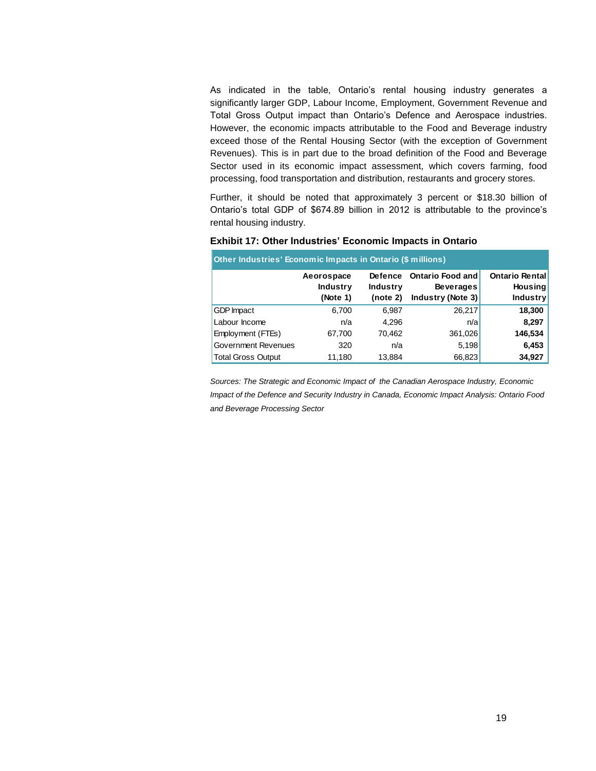As indicated in the table, Ontario's rental housing industry generates a significantly larger GDP, Labour Income, Employment, Government Revenue and Total Gross Output impact than Ontario's Defence and Aerospace industries. However, the economic impacts attributable to the Food and Beverage industry exceed those of the Rental Housing Sector (with the exception of Government Revenues). This is in part due to the broad definition of the Food and Beverage Sector used in its economic impact assessment, which covers farming, food processing, food transportation and distribution, restaurants and grocery stores.

Further, it should be noted that approximately 3 percent or \$18.30 billion of Ontario's total GDP of \$674.89 billion in 2012 is attributable to the province's rental housing industry.

| Other Industries' Economic Impacts in Ontario (\$ millions) |                               |                            |                                             |                                  |  |  |
|-------------------------------------------------------------|-------------------------------|----------------------------|---------------------------------------------|----------------------------------|--|--|
|                                                             | Aeorospace<br><b>Industry</b> | Defence<br><b>Industry</b> | <b>Ontario Food and</b><br><b>Beverages</b> | Ontario Rental<br><b>Housing</b> |  |  |
|                                                             | (Note 1)                      | (note 2)                   | Industry (Note 3)                           | <b>Industry</b>                  |  |  |
| <b>GDP</b> Impact                                           | 6,700                         | 6,987                      | 26,217                                      | 18,300                           |  |  |
| Labour Income                                               | n/a                           | 4,296                      | n/a                                         | 8,297                            |  |  |
| Employment (FTEs)                                           | 67,700                        | 70,462                     | 361,026                                     | 146,534                          |  |  |
| Government Revenues                                         | 320                           | n/a                        | 5,198                                       | 6,453                            |  |  |
| <b>Total Gross Output</b>                                   | 11,180                        | 13,884                     | 66,823                                      | 34,927                           |  |  |

### **Exhibit 17: Other Industries' Economic Impacts in Ontario**

*Sources: The Strategic and Economic Impact of the Canadian Aerospace Industry, Economic Impact of the Defence and Security Industry in Canada, Economic Impact Analysis: Ontario Food and Beverage Processing Sector*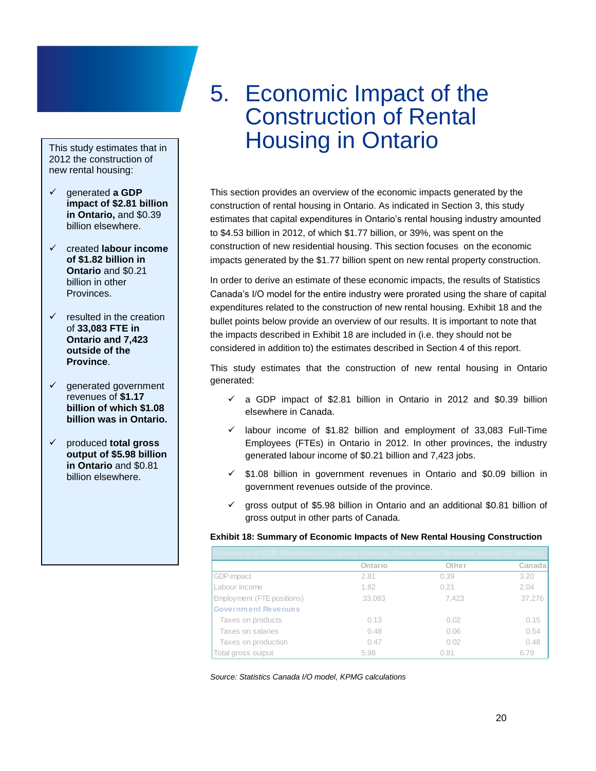### This study estimates that in 2012 the construction of new rental housing:

- generated **a GDP impact of \$2.81 billion in Ontario,** and \$0.39 billion elsewhere.
- created **labour income of \$1.82 billion in Ontario** and \$0.21 billion in other Provinces.
- $\checkmark$  resulted in the creation of **33,083 FTE in Ontario and 7,423 outside of the Province**.
- $\checkmark$  generated government revenues of **\$1.17 billion of which \$1.08 billion was in Ontario.**
- produced **total gross output of \$5.98 billion in Ontario** and \$0.81 billion elsewhere.

## <span id="page-21-0"></span>5. Economic Impact of the Construction of Rental Housing in Ontario

This section provides an overview of the economic impacts generated by the construction of rental housing in Ontario. As indicated in Section 3, this study estimates that capital expenditures in Ontario's rental housing industry amounted to \$4.53 billion in 2012, of which \$1.77 billion, or 39%, was spent on the construction of new residential housing. This section focuses on the economic impacts generated by the \$1.77 billion spent on new rental property construction.

In order to derive an estimate of these economic impacts, the results of Statistics Canada's I/O model for the entire industry were prorated using the share of capital expenditures related to the construction of new rental housing. Exhibit 18 and the bullet points below provide an overview of our results. It is important to note that the impacts described in Exhibit 18 are included in (i.e. they should not be considered in addition to) the estimates described in Section 4 of this report.

This study estimates that the construction of new rental housing in Ontario generated:

- $\checkmark$  a GDP impact of \$2.81 billion in Ontario in 2012 and \$0.39 billion elsewhere in Canada.
- $\checkmark$  labour income of \$1.82 billion and employment of 33,083 Full-Time Employees (FTEs) in Ontario in 2012. In other provinces, the industry generated labour income of \$0.21 billion and 7,423 jobs.
- $\checkmark$  \$1.08 billion in government revenues in Ontario and \$0.09 billion in government revenues outside of the province.
- $\checkmark$  gross output of \$5.98 billion in Ontario and an additional \$0.81 billion of gross output in other parts of Canada.

### **Exhibit 18: Summary of Economic Impacts of New Rental Housing Construction**

| Summary of GDP, Employment, Labour Income, Government Revenue Impact (\$ billions) |         |       |         |
|------------------------------------------------------------------------------------|---------|-------|---------|
|                                                                                    | Ontario | Other | Canadal |
| <b>GDP</b> impact                                                                  | 2.81    | 0.39  | 3.20    |
| Labour income                                                                      | 1.82    | 0.21  | 2.04    |
| Employment (FTE positions)                                                         | 33,083  | 7.423 | 37,276  |
| <b>Government Revenues</b>                                                         |         |       |         |
| Taxes on products                                                                  | 0.13    | 0.02  | 0.15    |
| Taxes on salaries                                                                  | 0.48    | 0.06  | 0.54    |
| Taxes on production                                                                | 0.47    | 0.02  | 0.48    |
| Total gross output                                                                 | 5.98    | 0.81  | 6.79    |

*Source: Statistics Canada I/O model, KPMG calculations*